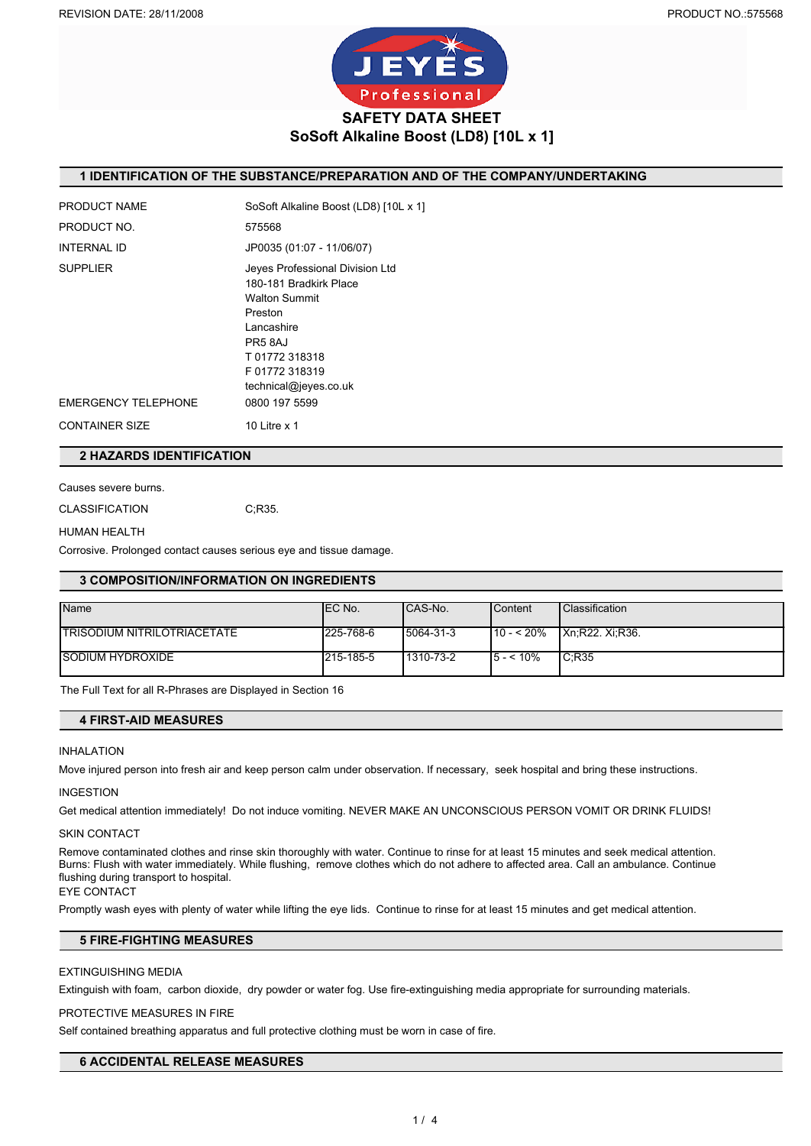

## **1 IDENTIFICATION OF THE SUBSTANCE/PREPARATION AND OF THE COMPANY/UNDERTAKING**

| PRODUCT NAME          | SoSoft Alkaline Boost (LD8) [10L x 1]                                                                                                                                         |
|-----------------------|-------------------------------------------------------------------------------------------------------------------------------------------------------------------------------|
| PRODUCT NO.           | 575568                                                                                                                                                                        |
| <b>INTERNAL ID</b>    | JP0035 (01:07 - 11/06/07)                                                                                                                                                     |
| <b>SUPPLIER</b>       | Jeyes Professional Division Ltd<br>180-181 Bradkirk Place<br><b>Walton Summit</b><br>Preston<br>Lancashire<br>PR58AJ<br>T01772318318<br>F01772318319<br>technical@jeyes.co.uk |
| EMERGENCY TELEPHONE   | 0800 197 5599                                                                                                                                                                 |
| <b>CONTAINER SIZE</b> | 10 Litre $x$ 1                                                                                                                                                                |

## **2 HAZARDS IDENTIFICATION**

Causes severe burns.

CLASSIFICATION C;R35.

#### HUMAN HEALTH

Corrosive. Prolonged contact causes serious eye and tissue damage.

## **3 COMPOSITION/INFORMATION ON INGREDIENTS**

| <b>Name</b>                         | IEC No.   | ICAS-No.  | <b>Content</b> | <b>Classification</b>   |
|-------------------------------------|-----------|-----------|----------------|-------------------------|
|                                     |           |           |                |                         |
| <b>ITRISODIUM NITRILOTRIACETATE</b> | 225-768-6 | 5064-31-3 | $110 - 520%$   | <b>IXn:R22. Xi:R36.</b> |
|                                     |           |           |                |                         |
| <b>SODIUM HYDROXIDE</b>             | 215-185-5 | 1310-73-2 | $15 - 10\%$    | IC:R35                  |
|                                     |           |           |                |                         |

The Full Text for all R-Phrases are Displayed in Section 16

# **4 FIRST-AID MEASURES**

#### INHALATION

Move injured person into fresh air and keep person calm under observation. If necessary, seek hospital and bring these instructions.

#### INGESTION

Get medical attention immediately! Do not induce vomiting. NEVER MAKE AN UNCONSCIOUS PERSON VOMIT OR DRINK FLUIDS!

#### SKIN CONTACT

Remove contaminated clothes and rinse skin thoroughly with water. Continue to rinse for at least 15 minutes and seek medical attention. Burns: Flush with water immediately. While flushing, remove clothes which do not adhere to affected area. Call an ambulance. Continue flushing during transport to hospital.

EYE CONTACT

Promptly wash eyes with plenty of water while lifting the eye lids. Continue to rinse for at least 15 minutes and get medical attention.

# **5 FIRE-FIGHTING MEASURES**

#### EXTINGUISHING MEDIA

Extinguish with foam, carbon dioxide, dry powder or water fog. Use fire-extinguishing media appropriate for surrounding materials.

## PROTECTIVE MEASURES IN FIRE

Self contained breathing apparatus and full protective clothing must be worn in case of fire.

## **6 ACCIDENTAL RELEASE MEASURES**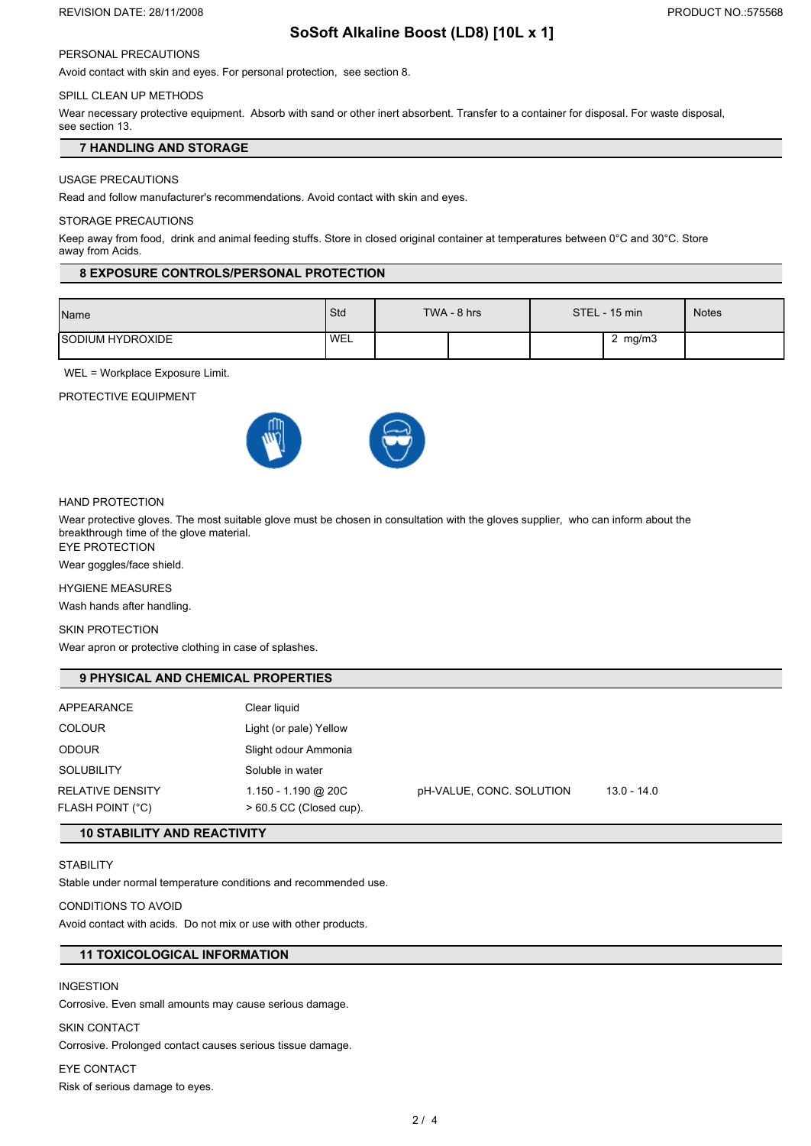#### REVISION DATE: 28/11/2008 **PRODUCT NO.:575568**

# **SoSoft Alkaline Boost (LD8) [10L x 1]**

# PERSONAL PRECAUTIONS

Avoid contact with skin and eyes. For personal protection, see section 8.

# SPILL CLEAN UP METHODS

Wear necessary protective equipment. Absorb with sand or other inert absorbent. Transfer to a container for disposal. For waste disposal, see section 13.

## **7 HANDLING AND STORAGE**

### USAGE PRECAUTIONS

Read and follow manufacturer's recommendations. Avoid contact with skin and eyes.

#### STORAGE PRECAUTIONS

Keep away from food, drink and animal feeding stuffs. Store in closed original container at temperatures between 0°C and 30°C. Store away from Acids.

### **8 EXPOSURE CONTROLS/PERSONAL PROTECTION**

| Name                      | Std  | TWA - 8 hrs | STEL - 15 min | Notes |
|---------------------------|------|-------------|---------------|-------|
| <b>I</b> SODIUM HYDROXIDE | 'WEL |             | 2 $mg/m3$     |       |

WEL = Workplace Exposure Limit.

PROTECTIVE EQUIPMENT





## HAND PROTECTION

Wear protective gloves. The most suitable glove must be chosen in consultation with the gloves supplier, who can inform about the breakthrough time of the glove material.

EYE PROTECTION

Wear goggles/face shield.

### HYGIENE MEASURES

Wash hands after handling.

#### SKIN PROTECTION

Wear apron or protective clothing in case of splashes.

## **9 PHYSICAL AND CHEMICAL PROPERTIES**

| <b>APPEARANCE</b>                           | Clear liquid                                     |                          |             |
|---------------------------------------------|--------------------------------------------------|--------------------------|-------------|
| <b>COLOUR</b>                               | Light (or pale) Yellow                           |                          |             |
| <b>ODOUR</b>                                | Slight odour Ammonia                             |                          |             |
| <b>SOLUBILITY</b>                           | Soluble in water                                 |                          |             |
| RELATIVE DENSITY<br><b>FLASH POINT (°C)</b> | 1.150 - 1.190 @ 20C<br>$> 60.5$ CC (Closed cup). | pH-VALUE, CONC. SOLUTION | 13.0 - 14.0 |

# **10 STABILITY AND REACTIVITY**

## **STABILITY**

Stable under normal temperature conditions and recommended use.

# CONDITIONS TO AVOID

Avoid contact with acids. Do not mix or use with other products.

## **11 TOXICOLOGICAL INFORMATION**

## INGESTION

Corrosive. Even small amounts may cause serious damage.

#### SKIN CONTACT

Corrosive. Prolonged contact causes serious tissue damage.

#### EYE CONTACT

Risk of serious damage to eyes.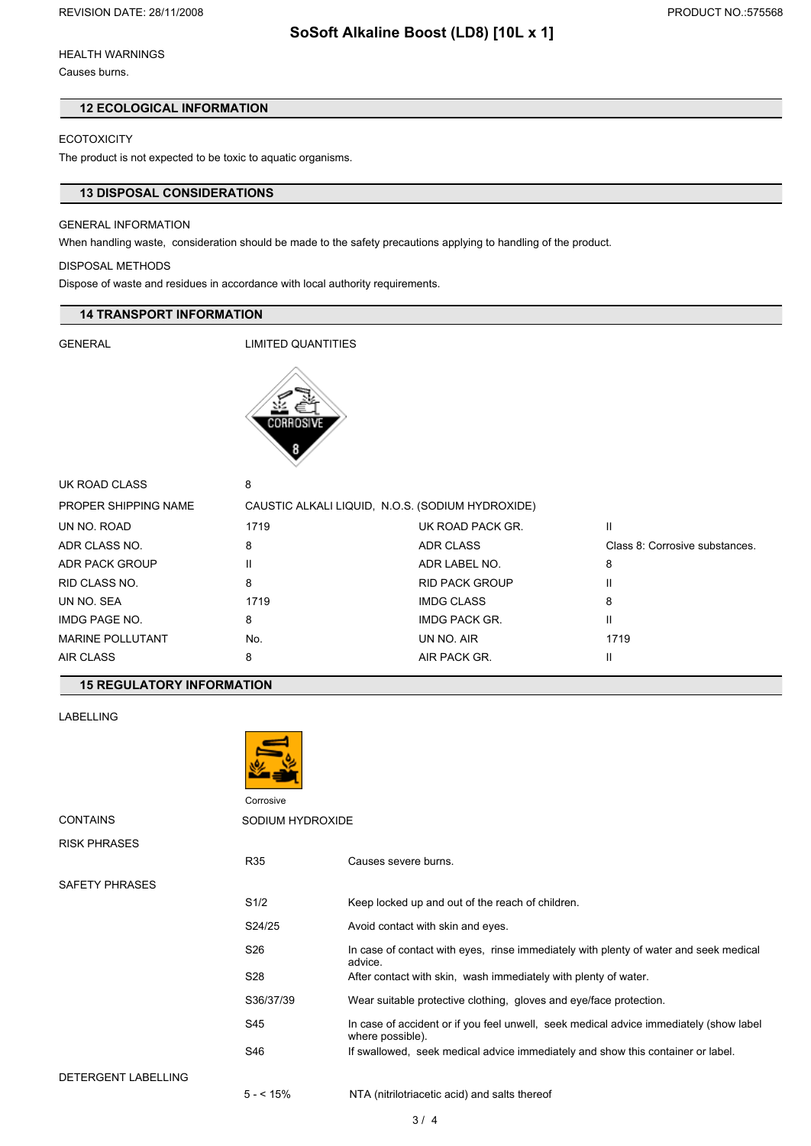# **SoSoft Alkaline Boost (LD8) [10L x 1]**

Causes burns.

## **12 ECOLOGICAL INFORMATION**

# **ECOTOXICITY**

The product is not expected to be toxic to aquatic organisms.

# **13 DISPOSAL CONSIDERATIONS**

### GENERAL INFORMATION

When handling waste, consideration should be made to the safety precautions applying to handling of the product.

### DISPOSAL METHODS

Dispose of waste and residues in accordance with local authority requirements.

## **14 TRANSPORT INFORMATION**

GENERAL LIMITED QUANTITIES



| UK ROAD CLASS           | 8                                                |                       |                                |
|-------------------------|--------------------------------------------------|-----------------------|--------------------------------|
| PROPER SHIPPING NAME    | CAUSTIC ALKALI LIQUID, N.O.S. (SODIUM HYDROXIDE) |                       |                                |
| UN NO. ROAD             | 1719                                             | UK ROAD PACK GR.      | Ш                              |
| ADR CLASS NO.           | 8                                                | ADR CLASS             | Class 8: Corrosive substances. |
| ADR PACK GROUP          | Ш                                                | ADR LABEL NO.         | 8                              |
| RID CLASS NO.           | 8                                                | <b>RID PACK GROUP</b> | Ш                              |
| UN NO. SEA              | 1719                                             | <b>IMDG CLASS</b>     | 8                              |
| IMDG PAGE NO.           | 8                                                | IMDG PACK GR.         | Ш                              |
| <b>MARINE POLLUTANT</b> | No.                                              | UN NO. AIR            | 1719                           |
| AIR CLASS               | 8                                                | AIR PACK GR.          | Ш                              |
|                         |                                                  |                       |                                |

# **15 REGULATORY INFORMATION**

LABELLING



Corrosive

| <b>CONTAINS</b>     | SODIUM HYDROXIDE |                                                                                                            |  |
|---------------------|------------------|------------------------------------------------------------------------------------------------------------|--|
| <b>RISK PHRASES</b> |                  |                                                                                                            |  |
|                     | R35              | Causes severe burns.                                                                                       |  |
| SAFETY PHRASES      |                  |                                                                                                            |  |
|                     | S1/2             | Keep locked up and out of the reach of children.                                                           |  |
|                     | S24/25           | Avoid contact with skin and eyes.                                                                          |  |
|                     | S26              | In case of contact with eyes, rinse immediately with plenty of water and seek medical<br>advice.           |  |
|                     | S <sub>28</sub>  | After contact with skin, wash immediately with plenty of water.                                            |  |
|                     | S36/37/39        | Wear suitable protective clothing, gloves and eye/face protection.                                         |  |
|                     | S45              | In case of accident or if you feel unwell, seek medical advice immediately (show label<br>where possible). |  |
|                     | S46              | If swallowed, seek medical advice immediately and show this container or label.                            |  |
| DETERGENT LABELLING |                  |                                                                                                            |  |
|                     | $5 - 15%$        | NTA (nitrilotriacetic acid) and salts thereof                                                              |  |

3 / 4